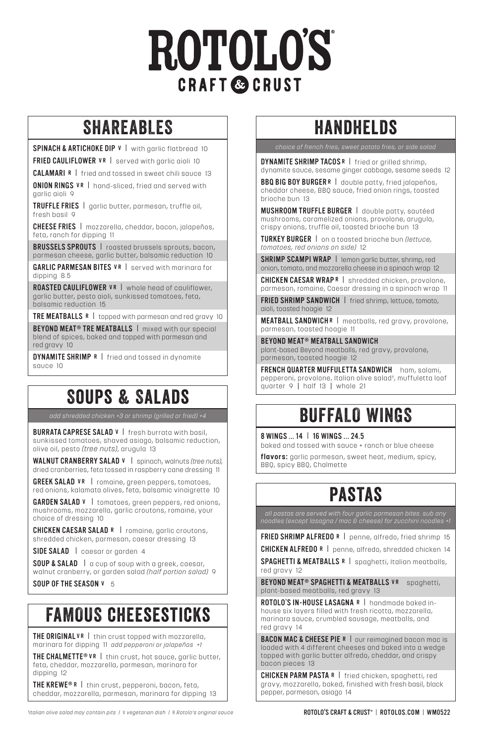# **ROTOLOS CRAFT & CRUST**

#### SHAREABLES

SPINACH & ARTICHOKE DIP  $v$  | with garlic flatbread 10 FRIED CAULIFLOWER VR | served with garlic aioli 10

**CALAMARI R** | fried and tossed in sweet chili sauce 13

ONION RINGS VR | hand-sliced, fried and served with garlic aioli 9

TRUFFLE FRIES I garlic butter, parmesan, truffle oil, fresh hasil 0

CHEESE FRIES I mozzarella, cheddar, bacon, jalapeños, feta, ranch for dipping 11

BRUSSELS SPROUTS | roasted brussels sprouts, bacon, parmesan cheese, garlic butter, balsamic reduction 10

GARLIC PARMESAN BITES VR | served with marinara for dipping 8.5

ROASTED CAULIFLOWER VR | whole head of cauliflower, garlic butter, pesto aioli, sunkissed tomatoes, feta, balsamic reduction 15

TRE MEATBALLS R | topped with parmesan and red gravy 10

**BEYOND MEAT® TRE MEATBALLS** | mixed with our special blend of spices, baked and topped with parmesan and red gravy 10

DYNAMITE SHRIMP R I fried and tossed in dynamite sauce 10

#### SOUPS & SALADS

BURRATA CAPRESE SALAD V | fresh burrata with basil, sunkissed tomatoes, shaved asiago, balsamic reduction, olive oil, pesto *(tree nuts)*, arugula 13

WALNUT CRANBERRY SALAD V I spinach, walnuts *(tree nuts)*, dried cranberries, feta tossed in raspberry cane dressing 11

**GREEK SALAD VR** | romaine, green peppers, tomatoes, red onions, kalamata olives, feta, balsamic vinaigrette 10

GARDEN SALAD  $V$  | tomatoes, green peppers, red onions, mushrooms, mozzarella, garlic croutons, romaine, your choice of dressing 10

CHICKEN CAESAR SALAD R | romaine, garlic croutons, shredded chicken, parmesan, caesar dressing 13

SIDE SALAD | caesar or garden 4

**SOUP & SALAD** | a cup of soup with a greek, caesar, walnut cranberry, or garden salad *(half portion salad)* 9

SOUP OF THE SEASON V 5

#### FAMOUS cheesesticks

THE ORIGINAL VR | thin crust topped with mozzarella, marinara for dipping 11 *add pepperoni or jalapeños +1*

THE CHALMETTE<sup>®</sup> VR | thin crust, hot sauce, aarlic butter, feta, cheddar, mozzarella, parmesan, marinara for dipping 12

THE KREWE® R I thin crust, pepperoni, bacon, feta, cheddar, mozzarella, parmesan, marinara for dipping 13

## handhelds

*choice of french fries, sweet potato fries, or side salad* 

DYNAMITE SHRIMP TACOS R I fried or grilled shrimp, dynamite sauce, sesame ginger cabbage, sesame seeds 12

BBQ BIG BOY BURGER R | double patty, fried jalapeños, cheddar cheese, BBQ sauce, fried onion rings, toasted brioche bun 13

MUSHROOM TRUFFLE BURGER I double patty, sautéed mushrooms, caramelized onions, provolone, arugula, crispy onions, truffle oil, toasted brioche bun 13

TURKEY BURGER I on a toasted brioche bun *(lettuce, tomatoes, red onions on side)* 12

SHRIMP SCAMPI WRAP | lemon garlic butter, shrimp, red onion, tomato, and mozzarella cheese in a spinach wrap 12

CHICKEN CAESAR WRAPR | shredded chicken, provolone, parmesan, romaine, Caesar dressing in a spinach wrap 11

FRIED SHRIMP SANDWICH | fried shrimp, lettuce, tomato, aioli, toasted hoagie 12

MEATBALL SANDWICH R I meatballs, red gravy, provolone, parmesan, toasted hoagie 11

BEYOND MEAT® MEATBALL SANDWICH plant-based Beyond meatballs, red gravy, provolone, parmesan, toasted hoagie 12

FRENCH QUARTER MUFFULETTA SANDWICH ham, salami, pepperoni, provolone, Italian olive salad† , muffuletta loaf quarter 9 I half 13 I whole 21

#### add shredded chicken +3 or shrimp (grilled or fried) +4 **BUFFALO WINGS**

8 WINGS ... 14 | 16 WINGS ... 24.5

baked and tossed with sauce + ranch or blue cheese

**flavors:** garlic parmesan, sweet heat, medium, spicy, BBQ, spicy BBQ, Chalmette

### pastas

*all pastas are served with four garlic parmesan bites. sub any noodles (except lasagna / mac & cheese) for zucchini noodles +1* 

FRIED SHRIMP ALFREDO R | penne, alfredo, fried shrimp 15

CHICKEN ALFREDO R | penne, alfredo, shredded chicken 14

SPAGHETTI & MEATBALLS R | spaghetti, Italian meatballs, red aravy 12

BEYOND MEAT® SPAGHETTI & MEATBALLS VR spaghetti, plant-based meatballs, red gravy 13

ROTOLO'S IN-HOUSE LASAGNA R | handmade baked inhouse six layers filled with fresh ricotta, mozzarella, marinara sauce, crumbled sausage, meatballs, and red gravy 14

**BACON MAC & CHEESE PIE R | our reimagined bacon mac is** loaded with 4 different cheeses and baked into a wedge topped with garlic butter alfredo, cheddar, and crispy bacon pieces 13

CHICKEN PARM PASTA R | fried chicken, spaghetti, red gravy, mozzarella, baked, finished with fresh basil, black pepper, parmesan, asiago 14